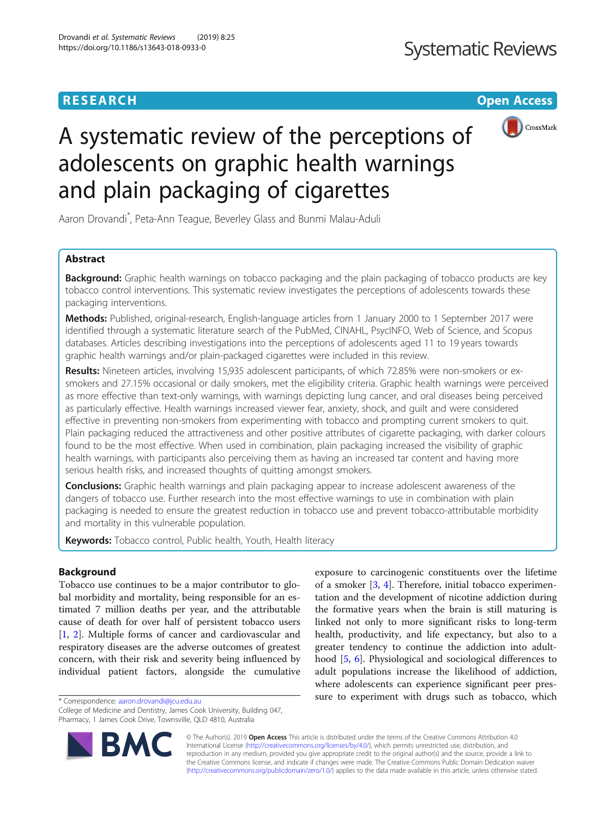# **RESEARCH CHINESE ARCH CHINESE ARCH CHINESE ARCH <b>CHINESE ARCH CHINESE ARCH CHINESE ARCH <b>CHINESE** ARCH **CHINESE ARCH** CHINESE ARCH **CHINESE ARCH** CHINESE ARCH **CHINESE ARCH 2014**



# A systematic review of the perceptions of adolescents on graphic health warnings and plain packaging of cigarettes

Aaron Drovandi\* , Peta-Ann Teague, Beverley Glass and Bunmi Malau-Aduli

# Abstract

**Background:** Graphic health warnings on tobacco packaging and the plain packaging of tobacco products are key tobacco control interventions. This systematic review investigates the perceptions of adolescents towards these packaging interventions.

Methods: Published, original-research, English-language articles from 1 January 2000 to 1 September 2017 were identified through a systematic literature search of the PubMed, CINAHL, PsycINFO, Web of Science, and Scopus databases. Articles describing investigations into the perceptions of adolescents aged 11 to 19 years towards graphic health warnings and/or plain-packaged cigarettes were included in this review.

Results: Nineteen articles, involving 15,935 adolescent participants, of which 72.85% were non-smokers or exsmokers and 27.15% occasional or daily smokers, met the eligibility criteria. Graphic health warnings were perceived as more effective than text-only warnings, with warnings depicting lung cancer, and oral diseases being perceived as particularly effective. Health warnings increased viewer fear, anxiety, shock, and guilt and were considered effective in preventing non-smokers from experimenting with tobacco and prompting current smokers to quit. Plain packaging reduced the attractiveness and other positive attributes of cigarette packaging, with darker colours found to be the most effective. When used in combination, plain packaging increased the visibility of graphic health warnings, with participants also perceiving them as having an increased tar content and having more serious health risks, and increased thoughts of quitting amongst smokers.

**Conclusions:** Graphic health warnings and plain packaging appear to increase adolescent awareness of the dangers of tobacco use. Further research into the most effective warnings to use in combination with plain packaging is needed to ensure the greatest reduction in tobacco use and prevent tobacco-attributable morbidity and mortality in this vulnerable population.

Keywords: Tobacco control, Public health, Youth, Health literacy

# Background

Tobacco use continues to be a major contributor to global morbidity and mortality, being responsible for an estimated 7 million deaths per year, and the attributable cause of death for over half of persistent tobacco users [[1,](#page-13-0) [2\]](#page-13-0). Multiple forms of cancer and cardiovascular and respiratory diseases are the adverse outcomes of greatest concern, with their risk and severity being influenced by individual patient factors, alongside the cumulative

College of Medicine and Dentistry, James Cook University, Building 047, Pharmacy, 1 James Cook Drive, Townsville, QLD 4810, Australia





© The Author(s). 2019 Open Access This article is distributed under the terms of the Creative Commons Attribution 4.0 International License [\(http://creativecommons.org/licenses/by/4.0/](http://creativecommons.org/licenses/by/4.0/)), which permits unrestricted use, distribution, and reproduction in any medium, provided you give appropriate credit to the original author(s) and the source, provide a link to the Creative Commons license, and indicate if changes were made. The Creative Commons Public Domain Dedication waiver [\(http://creativecommons.org/publicdomain/zero/1.0/](http://creativecommons.org/publicdomain/zero/1.0/)) applies to the data made available in this article, unless otherwise stated.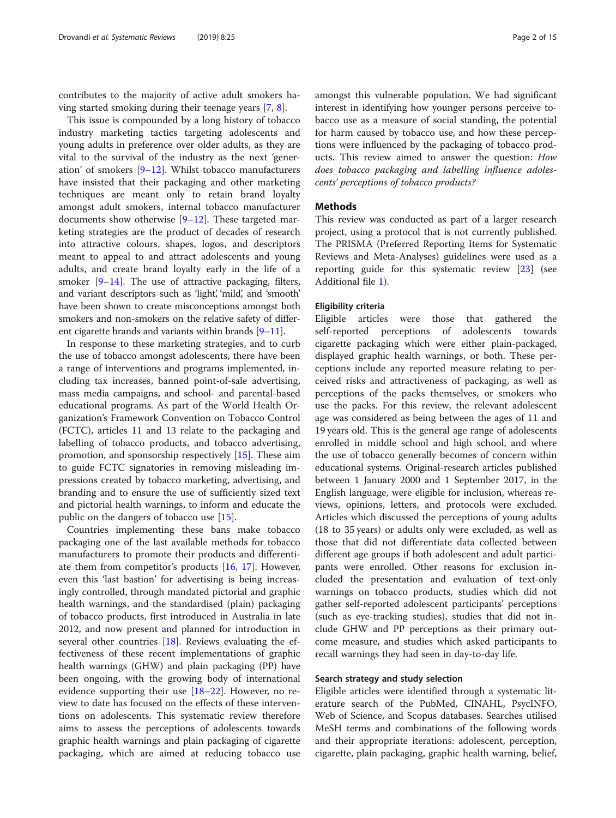contributes to the majority of active adult smokers having started smoking during their teenage years [[7,](#page-13-0) [8\]](#page-13-0).

This issue is compounded by a long history of tobacco industry marketing tactics targeting adolescents and young adults in preference over older adults, as they are vital to the survival of the industry as the next 'generation' of smokers [\[9](#page-13-0)–[12](#page-13-0)]. Whilst tobacco manufacturers have insisted that their packaging and other marketing techniques are meant only to retain brand loyalty amongst adult smokers, internal tobacco manufacturer documents show otherwise  $[9-12]$  $[9-12]$  $[9-12]$  $[9-12]$ . These targeted marketing strategies are the product of decades of research into attractive colours, shapes, logos, and descriptors meant to appeal to and attract adolescents and young adults, and create brand loyalty early in the life of a smoker [[9](#page-13-0)–[14\]](#page-13-0). The use of attractive packaging, filters, and variant descriptors such as 'light', 'mild', and 'smooth' have been shown to create misconceptions amongst both smokers and non-smokers on the relative safety of different cigarette brands and variants within brands [[9](#page-13-0)–[11\]](#page-13-0).

In response to these marketing strategies, and to curb the use of tobacco amongst adolescents, there have been a range of interventions and programs implemented, including tax increases, banned point-of-sale advertising, mass media campaigns, and school- and parental-based educational programs. As part of the World Health Organization's Framework Convention on Tobacco Control (FCTC), articles 11 and 13 relate to the packaging and labelling of tobacco products, and tobacco advertising, promotion, and sponsorship respectively [[15](#page-13-0)]. These aim to guide FCTC signatories in removing misleading impressions created by tobacco marketing, advertising, and branding and to ensure the use of sufficiently sized text and pictorial health warnings, to inform and educate the public on the dangers of tobacco use [[15\]](#page-13-0).

Countries implementing these bans make tobacco packaging one of the last available methods for tobacco manufacturers to promote their products and differentiate them from competitor's products [[16,](#page-13-0) [17](#page-13-0)]. However, even this 'last bastion' for advertising is being increasingly controlled, through mandated pictorial and graphic health warnings, and the standardised (plain) packaging of tobacco products, first introduced in Australia in late 2012, and now present and planned for introduction in several other countries [\[18](#page-13-0)]. Reviews evaluating the effectiveness of these recent implementations of graphic health warnings (GHW) and plain packaging (PP) have been ongoing, with the growing body of international evidence supporting their use [[18](#page-13-0)–[22](#page-13-0)]. However, no review to date has focused on the effects of these interventions on adolescents. This systematic review therefore aims to assess the perceptions of adolescents towards graphic health warnings and plain packaging of cigarette packaging, which are aimed at reducing tobacco use amongst this vulnerable population. We had significant interest in identifying how younger persons perceive tobacco use as a measure of social standing, the potential for harm caused by tobacco use, and how these perceptions were influenced by the packaging of tobacco products. This review aimed to answer the question: How does tobacco packaging and labelling influence adolescents' perceptions of tobacco products?

## **Methods**

This review was conducted as part of a larger research project, using a protocol that is not currently published. The PRISMA (Preferred Reporting Items for Systematic Reviews and Meta-Analyses) guidelines were used as a reporting guide for this systematic review [\[23](#page-13-0)] (see Additional file [1](#page-13-0)).

## Eligibility criteria

Eligible articles were those that gathered the self-reported perceptions of adolescents towards cigarette packaging which were either plain-packaged, displayed graphic health warnings, or both. These perceptions include any reported measure relating to perceived risks and attractiveness of packaging, as well as perceptions of the packs themselves, or smokers who use the packs. For this review, the relevant adolescent age was considered as being between the ages of 11 and 19 years old. This is the general age range of adolescents enrolled in middle school and high school, and where the use of tobacco generally becomes of concern within educational systems. Original-research articles published between 1 January 2000 and 1 September 2017, in the English language, were eligible for inclusion, whereas reviews, opinions, letters, and protocols were excluded. Articles which discussed the perceptions of young adults (18 to 35 years) or adults only were excluded, as well as those that did not differentiate data collected between different age groups if both adolescent and adult participants were enrolled. Other reasons for exclusion included the presentation and evaluation of text-only warnings on tobacco products, studies which did not gather self-reported adolescent participants' perceptions (such as eye-tracking studies), studies that did not include GHW and PP perceptions as their primary outcome measure, and studies which asked participants to recall warnings they had seen in day-to-day life.

## Search strategy and study selection

Eligible articles were identified through a systematic literature search of the PubMed, CINAHL, PsycINFO, Web of Science, and Scopus databases. Searches utilised MeSH terms and combinations of the following words and their appropriate iterations: adolescent, perception, cigarette, plain packaging, graphic health warning, belief,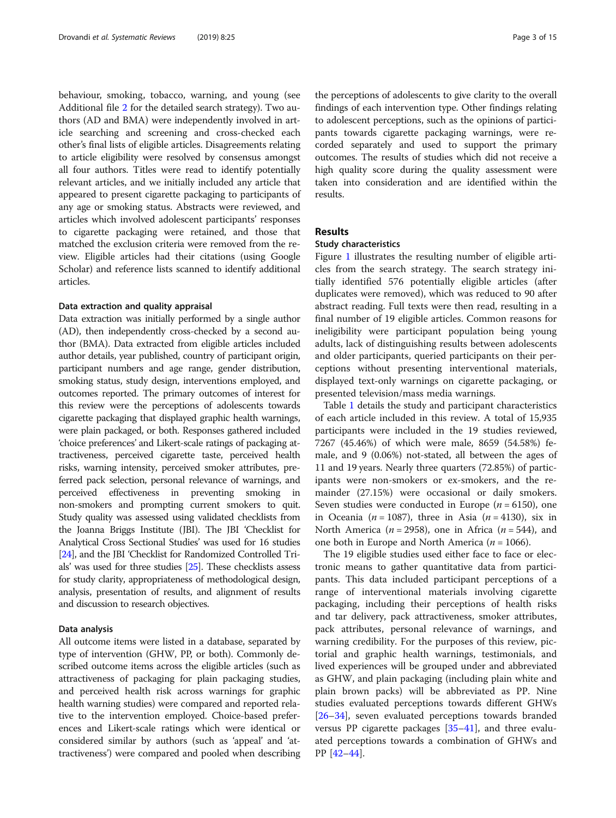behaviour, smoking, tobacco, warning, and young (see Additional file [2](#page-13-0) for the detailed search strategy). Two authors (AD and BMA) were independently involved in article searching and screening and cross-checked each other's final lists of eligible articles. Disagreements relating to article eligibility were resolved by consensus amongst all four authors. Titles were read to identify potentially relevant articles, and we initially included any article that appeared to present cigarette packaging to participants of any age or smoking status. Abstracts were reviewed, and articles which involved adolescent participants' responses to cigarette packaging were retained, and those that matched the exclusion criteria were removed from the review. Eligible articles had their citations (using Google Scholar) and reference lists scanned to identify additional articles.

## Data extraction and quality appraisal

Data extraction was initially performed by a single author (AD), then independently cross-checked by a second author (BMA). Data extracted from eligible articles included author details, year published, country of participant origin, participant numbers and age range, gender distribution, smoking status, study design, interventions employed, and outcomes reported. The primary outcomes of interest for this review were the perceptions of adolescents towards cigarette packaging that displayed graphic health warnings, were plain packaged, or both. Responses gathered included 'choice preferences' and Likert-scale ratings of packaging attractiveness, perceived cigarette taste, perceived health risks, warning intensity, perceived smoker attributes, preferred pack selection, personal relevance of warnings, and perceived effectiveness in preventing smoking in non-smokers and prompting current smokers to quit. Study quality was assessed using validated checklists from the Joanna Briggs Institute (JBI). The JBI 'Checklist for Analytical Cross Sectional Studies' was used for 16 studies [[24](#page-13-0)], and the JBI 'Checklist for Randomized Controlled Trials' was used for three studies [\[25\]](#page-13-0). These checklists assess for study clarity, appropriateness of methodological design, analysis, presentation of results, and alignment of results and discussion to research objectives.

## Data analysis

All outcome items were listed in a database, separated by type of intervention (GHW, PP, or both). Commonly described outcome items across the eligible articles (such as attractiveness of packaging for plain packaging studies, and perceived health risk across warnings for graphic health warning studies) were compared and reported relative to the intervention employed. Choice-based preferences and Likert-scale ratings which were identical or considered similar by authors (such as 'appeal' and 'attractiveness') were compared and pooled when describing

the perceptions of adolescents to give clarity to the overall findings of each intervention type. Other findings relating to adolescent perceptions, such as the opinions of participants towards cigarette packaging warnings, were recorded separately and used to support the primary outcomes. The results of studies which did not receive a high quality score during the quality assessment were taken into consideration and are identified within the results.

# Results

## Study characteristics

Figure [1](#page-3-0) illustrates the resulting number of eligible articles from the search strategy. The search strategy initially identified 576 potentially eligible articles (after duplicates were removed), which was reduced to 90 after abstract reading. Full texts were then read, resulting in a final number of 19 eligible articles. Common reasons for ineligibility were participant population being young adults, lack of distinguishing results between adolescents and older participants, queried participants on their perceptions without presenting interventional materials, displayed text-only warnings on cigarette packaging, or presented television/mass media warnings.

Table [1](#page-4-0) details the study and participant characteristics of each article included in this review. A total of 15,935 participants were included in the 19 studies reviewed, 7267 (45.46%) of which were male, 8659 (54.58%) female, and 9 (0.06%) not-stated, all between the ages of 11 and 19 years. Nearly three quarters (72.85%) of participants were non-smokers or ex-smokers, and the remainder (27.15%) were occasional or daily smokers. Seven studies were conducted in Europe ( $n = 6150$ ), one in Oceania ( $n = 1087$ ), three in Asia ( $n = 4130$ ), six in North America ( $n = 2958$ ), one in Africa ( $n = 544$ ), and one both in Europe and North America ( $n = 1066$ ).

The 19 eligible studies used either face to face or electronic means to gather quantitative data from participants. This data included participant perceptions of a range of interventional materials involving cigarette packaging, including their perceptions of health risks and tar delivery, pack attractiveness, smoker attributes, pack attributes, personal relevance of warnings, and warning credibility. For the purposes of this review, pictorial and graphic health warnings, testimonials, and lived experiences will be grouped under and abbreviated as GHW, and plain packaging (including plain white and plain brown packs) will be abbreviated as PP. Nine studies evaluated perceptions towards different GHWs [[26](#page-13-0)–[34](#page-14-0)], seven evaluated perceptions towards branded versus PP cigarette packages [\[35](#page-14-0)–[41\]](#page-14-0), and three evaluated perceptions towards a combination of GHWs and PP [[42](#page-14-0)–[44](#page-14-0)].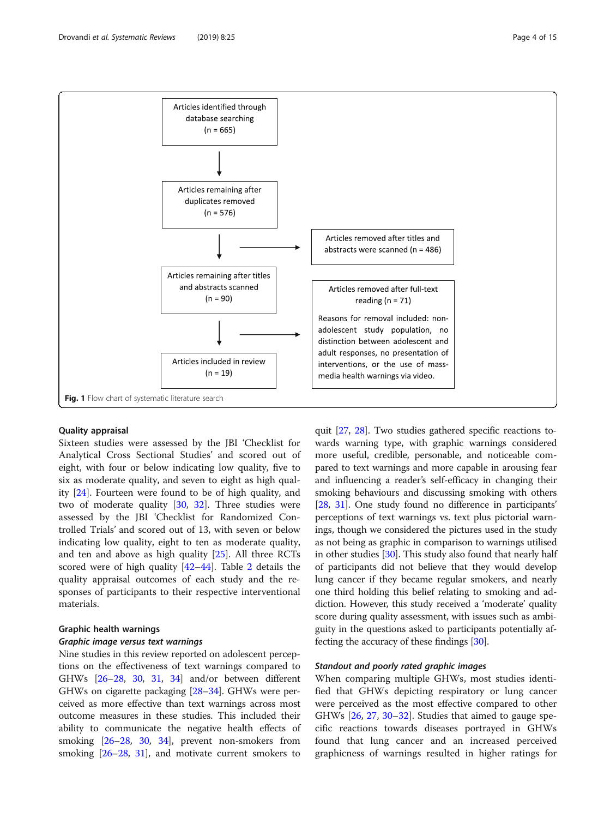<span id="page-3-0"></span>

## Quality appraisal

Sixteen studies were assessed by the JBI 'Checklist for Analytical Cross Sectional Studies' and scored out of eight, with four or below indicating low quality, five to six as moderate quality, and seven to eight as high quality [[24\]](#page-13-0). Fourteen were found to be of high quality, and two of moderate quality [\[30](#page-14-0), [32\]](#page-14-0). Three studies were assessed by the JBI 'Checklist for Randomized Controlled Trials' and scored out of 13, with seven or below indicating low quality, eight to ten as moderate quality, and ten and above as high quality [\[25\]](#page-13-0). All three RCTs scored were of high quality [\[42](#page-14-0)–[44](#page-14-0)]. Table [2](#page-7-0) details the quality appraisal outcomes of each study and the responses of participants to their respective interventional materials.

## Graphic health warnings

## Graphic image versus text warnings

Nine studies in this review reported on adolescent perceptions on the effectiveness of text warnings compared to GHWs [\[26](#page-13-0)–[28,](#page-13-0) [30,](#page-14-0) [31,](#page-14-0) [34](#page-14-0)] and/or between different GHWs on cigarette packaging [\[28](#page-13-0)–[34](#page-14-0)]. GHWs were perceived as more effective than text warnings across most outcome measures in these studies. This included their ability to communicate the negative health effects of smoking [[26](#page-13-0)–[28,](#page-13-0) [30](#page-14-0), [34\]](#page-14-0), prevent non-smokers from smoking  $[26-28, 31]$  $[26-28, 31]$  $[26-28, 31]$  $[26-28, 31]$  $[26-28, 31]$  $[26-28, 31]$  $[26-28, 31]$ , and motivate current smokers to

quit [[27](#page-13-0), [28\]](#page-13-0). Two studies gathered specific reactions towards warning type, with graphic warnings considered more useful, credible, personable, and noticeable compared to text warnings and more capable in arousing fear and influencing a reader's self-efficacy in changing their smoking behaviours and discussing smoking with others [[28](#page-13-0), [31\]](#page-14-0). One study found no difference in participants' perceptions of text warnings vs. text plus pictorial warnings, though we considered the pictures used in the study as not being as graphic in comparison to warnings utilised in other studies [\[30](#page-14-0)]. This study also found that nearly half of participants did not believe that they would develop lung cancer if they became regular smokers, and nearly one third holding this belief relating to smoking and addiction. However, this study received a 'moderate' quality score during quality assessment, with issues such as ambiguity in the questions asked to participants potentially affecting the accuracy of these findings [\[30\]](#page-14-0).

# Standout and poorly rated graphic images

When comparing multiple GHWs, most studies identified that GHWs depicting respiratory or lung cancer were perceived as the most effective compared to other GHWs [[26](#page-13-0), [27](#page-13-0), [30](#page-14-0)–[32](#page-14-0)]. Studies that aimed to gauge specific reactions towards diseases portrayed in GHWs found that lung cancer and an increased perceived graphicness of warnings resulted in higher ratings for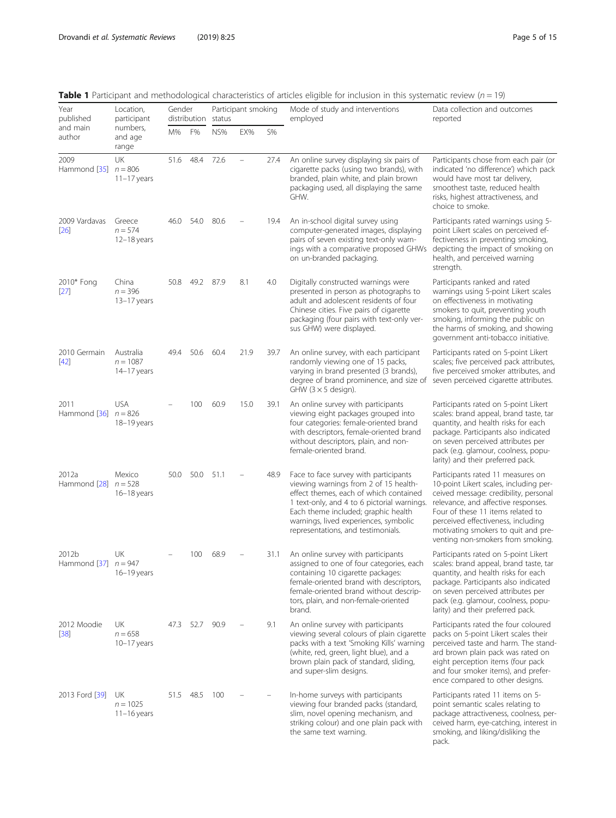| Year<br>published                 | Location,<br>participant                 | Gender | distribution | status |      | Mode of study and interventions<br>Participant smoking<br>employed |                                                                                                                                                                                                                                                                                               | Data collection and outcomes<br>reported                                                                                                                                                                                                                                                                           |
|-----------------------------------|------------------------------------------|--------|--------------|--------|------|--------------------------------------------------------------------|-----------------------------------------------------------------------------------------------------------------------------------------------------------------------------------------------------------------------------------------------------------------------------------------------|--------------------------------------------------------------------------------------------------------------------------------------------------------------------------------------------------------------------------------------------------------------------------------------------------------------------|
| and main<br>author                | numbers,<br>and age<br>range             | M%     | F%           | NS%    | EX%  | S%                                                                 |                                                                                                                                                                                                                                                                                               |                                                                                                                                                                                                                                                                                                                    |
| 2009<br>Hammond [35]              | UK<br>$n = 806$<br>$11-17$ years         | 51.6   | 48.4         | 72.6   |      | 27.4                                                               | An online survey displaying six pairs of<br>cigarette packs (using two brands), with<br>branded, plain white, and plain brown<br>packaging used, all displaying the same<br>GHW.                                                                                                              | Participants chose from each pair (or<br>indicated 'no difference') which pack<br>would have most tar delivery,<br>smoothest taste, reduced health<br>risks, highest attractiveness, and<br>choice to smoke.                                                                                                       |
| 2009 Vardavas<br>[26]             | Greece<br>$n = 574$<br>$12-18$ years     | 46.0   | 54.0         | 80.6   |      | 19.4                                                               | An in-school digital survey using<br>computer-generated images, displaying<br>pairs of seven existing text-only warn-<br>ings with a comparative proposed GHWs<br>on un-branded packaging.                                                                                                    | Participants rated warnings using 5-<br>point Likert scales on perceived ef-<br>fectiveness in preventing smoking,<br>depicting the impact of smoking on<br>health, and perceived warning<br>strength.                                                                                                             |
| 2010* Fong<br>$[27]$              | China<br>$n = 396$<br>13-17 years        | 50.8   | 49.2         | 87.9   | 8.1  | 4.0                                                                | Digitally constructed warnings were<br>presented in person as photographs to<br>adult and adolescent residents of four<br>Chinese cities. Five pairs of cigarette<br>packaging (four pairs with text-only ver-<br>sus GHW) were displayed.                                                    | Participants ranked and rated<br>warnings using 5-point Likert scales<br>on effectiveness in motivating<br>smokers to quit, preventing youth<br>smoking, informing the public on<br>the harms of smoking, and showing<br>government anti-tobacco initiative.                                                       |
| 2010 Germain<br>$[42]$            | Australia<br>$n = 1087$<br>$14-17$ years | 49.4   | 50.6         | 60.4   | 21.9 | 39.7                                                               | An online survey, with each participant<br>randomly viewing one of 15 packs,<br>varying in brand presented (3 brands),<br>degree of brand prominence, and size of<br>GHW $(3 \times 5$ design).                                                                                               | Participants rated on 5-point Likert<br>scales; five perceived pack attributes,<br>five perceived smoker attributes, and<br>seven perceived cigarette attributes.                                                                                                                                                  |
| 2011<br>Hammond $[36]$ $n = 826$  | <b>USA</b><br>18-19 years                |        | 100          | 60.9   | 15.0 | 39.1                                                               | An online survey with participants<br>viewing eight packages grouped into<br>four categories: female-oriented brand<br>with descriptors, female-oriented brand<br>without descriptors, plain, and non-<br>female-oriented brand.                                                              | Participants rated on 5-point Likert<br>scales: brand appeal, brand taste, tar<br>quantity, and health risks for each<br>package. Participants also indicated<br>on seven perceived attributes per<br>pack (e.g. glamour, coolness, popu-<br>larity) and their preferred pack.                                     |
| 2012a<br>Hammond [28]             | Mexico<br>$n = 528$<br>$16-18$ years     | 50.0   | 50.0         | 51.1   |      | 48.9                                                               | Face to face survey with participants<br>viewing warnings from 2 of 15 health-<br>effect themes, each of which contained<br>1 text-only, and 4 to 6 pictorial warnings.<br>Each theme included; graphic health<br>warnings, lived experiences, symbolic<br>representations, and testimonials. | Participants rated 11 measures on<br>10-point Likert scales, including per-<br>ceived message: credibility, personal<br>relevance, and affective responses.<br>Four of these 11 items related to<br>perceived effectiveness, including<br>motivating smokers to quit and pre-<br>venting non-smokers from smoking. |
| 2012b<br>Hammond $[37]$ $n = 947$ | UK<br>16-19 years                        |        | 100          | 68.9   |      | 31.1                                                               | An online survey with participants<br>assigned to one of four categories, each<br>containing 10 cigarette packages:<br>female-oriented brand with descriptors,<br>female-oriented brand without descrip-<br>tors, plain, and non-female-oriented<br>brand.                                    | Participants rated on 5-point Likert<br>scales: brand appeal, brand taste, tar<br>quantity, and health risks for each<br>package. Participants also indicated<br>on seven perceived attributes per<br>pack (e.g. glamour, coolness, popu-<br>larity) and their preferred pack.                                     |
| 2012 Moodie<br>[38]               | UK<br>$n = 658$<br>$10-17$ years         | 47.3   | 52.7         | 90.9   |      | 9.1                                                                | An online survey with participants<br>viewing several colours of plain cigarette<br>packs with a text 'Smoking Kills' warning<br>(white, red, green, light blue), and a<br>brown plain pack of standard, sliding,<br>and super-slim designs.                                                  | Participants rated the four coloured<br>packs on 5-point Likert scales their<br>perceived taste and harm. The stand-<br>ard brown plain pack was rated on<br>eight perception items (four pack<br>and four smoker items), and prefer-<br>ence compared to other designs.                                           |
| 2013 Ford [39]                    | UK<br>$n = 1025$<br>$11-16$ years        | 51.5   | 48.5         | 100    |      |                                                                    | In-home surveys with participants<br>viewing four branded packs (standard,<br>slim, novel opening mechanism, and<br>striking colour) and one plain pack with<br>the same text warning.                                                                                                        | Participants rated 11 items on 5-<br>point semantic scales relating to<br>package attractiveness, coolness, per-<br>ceived harm, eye-catching, interest in<br>smoking, and liking/disliking the<br>pack.                                                                                                           |

<span id="page-4-0"></span>**Table 1** Participant and methodological characteristics of articles eligible for inclusion in this systematic review ( $n = 19$ )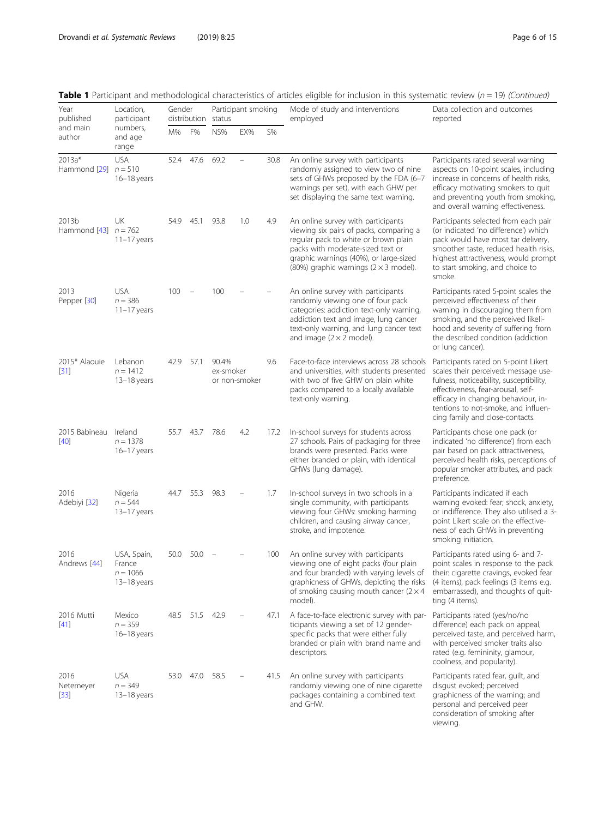|  |  |  | <b>Table 1</b> Participant and methodological characteristics of articles eligible for inclusion in this systematic review $(n = 19)$ (Continued) |
|--|--|--|---------------------------------------------------------------------------------------------------------------------------------------------------|
|  |  |  |                                                                                                                                                   |

| Year<br>published                  | Location,<br>participant                             | Gender<br>distribution |                | Participant smoking<br>status |               |      | Mode of study and interventions<br>employed                                                                                                                                                                                                                     | Data collection and outcomes<br>reported                                                                                                                                                                                                                                       |
|------------------------------------|------------------------------------------------------|------------------------|----------------|-------------------------------|---------------|------|-----------------------------------------------------------------------------------------------------------------------------------------------------------------------------------------------------------------------------------------------------------------|--------------------------------------------------------------------------------------------------------------------------------------------------------------------------------------------------------------------------------------------------------------------------------|
| and main<br>author                 | numbers,<br>and age<br>range                         | M%                     | F%             | NS%                           | EX%           | S%   |                                                                                                                                                                                                                                                                 |                                                                                                                                                                                                                                                                                |
| 2013a*<br>Hammond $[29]$ $n = 510$ | <b>USA</b><br>$16-18$ years                          |                        | 52.4 47.6      | 69.2                          |               | 30.8 | An online survey with participants<br>randomly assigned to view two of nine<br>sets of GHWs proposed by the FDA (6-7<br>warnings per set), with each GHW per<br>set displaying the same text warning.                                                           | Participants rated several warning<br>aspects on 10-point scales, including<br>increase in concerns of health risks,<br>efficacy motivating smokers to quit<br>and preventing youth from smoking,<br>and overall warning effectiveness.                                        |
| 2013b<br>Hammond $[43]$ $n = 762$  | UK<br>$11-17$ years                                  | 54.9                   | 45.1           | 93.8                          | 1.0           | 4.9  | An online survey with participants<br>viewing six pairs of packs, comparing a<br>regular pack to white or brown plain<br>packs with moderate-sized text or<br>graphic warnings (40%), or large-sized<br>$(80%)$ graphic warnings $(2 \times 3 \text{ model})$ . | Participants selected from each pair<br>(or indicated 'no difference') which<br>pack would have most tar delivery,<br>smoother taste, reduced health risks,<br>highest attractiveness, would prompt<br>to start smoking, and choice to<br>smoke.                               |
| 2013<br>Pepper [30]                | <b>USA</b><br>$n = 386$<br>$11-17$ years             | 100                    |                | 100                           |               |      | An online survey with participants<br>randomly viewing one of four pack<br>categories: addiction text-only warning,<br>addiction text and image, lung cancer<br>text-only warning, and lung cancer text<br>and image $(2 \times 2 \text{ model})$ .             | Participants rated 5-point scales the<br>perceived effectiveness of their<br>warning in discouraging them from<br>smoking, and the perceived likeli-<br>hood and severity of suffering from<br>the described condition (addiction<br>or lung cancer).                          |
| 2015* Alaouie<br>[31]              | Lebanon<br>$n = 1412$<br>$13-18$ years               | 42.9                   | 57.1           | 90.4%<br>ex-smoker            | or non-smoker | 9.6  | Face-to-face interviews across 28 schools<br>and universities, with students presented<br>with two of five GHW on plain white<br>packs compared to a locally available<br>text-only warning.                                                                    | Participants rated on 5-point Likert<br>scales their perceived: message use-<br>fulness, noticeability, susceptibility,<br>effectiveness, fear-arousal, self-<br>efficacy in changing behaviour, in-<br>tentions to not-smoke, and influen-<br>cing family and close-contacts. |
| 2015 Babineau<br>$[40]$            | Ireland<br>$n = 1378$<br>$16-17$ years               |                        | 55.7 43.7      | 78.6                          | 4.2           | 17.2 | In-school surveys for students across<br>27 schools. Pairs of packaging for three<br>brands were presented. Packs were<br>either branded or plain, with identical<br>GHWs (lung damage).                                                                        | Participants chose one pack (or<br>indicated 'no difference') from each<br>pair based on pack attractiveness,<br>perceived health risks, perceptions of<br>popular smoker attributes, and pack<br>preference.                                                                  |
| 2016<br>Adebiyi [32]               | Nigeria<br>$n = 544$<br>$13-17$ years                | 44.7                   | 55.3           | 98.3                          |               | 1.7  | In-school surveys in two schools in a<br>single community, with participants<br>viewing four GHWs: smoking harming<br>children, and causing airway cancer,<br>stroke, and impotence.                                                                            | Participants indicated if each<br>warning evoked: fear; shock, anxiety,<br>or indifference. They also utilised a 3-<br>point Likert scale on the effective-<br>ness of each GHWs in preventing<br>smoking initiation.                                                          |
| 2016<br>Andrews [44]               | USA, Spain,<br>France<br>$n = 1066$<br>$13-18$ years |                        | 50.0 50.0      |                               |               | 100  | An online survey with participants<br>viewing one of eight packs (four plain<br>and four branded) with varying levels of<br>graphicness of GHWs, depicting the risks<br>of smoking causing mouth cancer ( $2 \times 4$<br>model).                               | Participants rated using 6- and 7-<br>point scales in response to the pack<br>their: cigarette cravings, evoked fear<br>(4 items), pack feelings (3 items e.g.<br>embarrassed), and thoughts of quit-<br>ting (4 items).                                                       |
| 2016 Mutti<br>$[41]$               | Mexico<br>$n = 359$<br>$16-18$ years                 |                        | 48.5 51.5 42.9 |                               |               | 47.1 | A face-to-face electronic survey with par-<br>ticipants viewing a set of 12 gender-<br>specific packs that were either fully<br>branded or plain with brand name and<br>descriptors.                                                                            | Participants rated (yes/no/no<br>difference) each pack on appeal,<br>perceived taste, and perceived harm,<br>with perceived smoker traits also<br>rated (e.g. femininity, glamour,<br>coolness, and popularity).                                                               |
| 2016<br>Netemeyer<br>$[33]$        | <b>USA</b><br>$n = 349$<br>$13-18$ years             |                        | 53.0 47.0 58.5 |                               |               | 41.5 | An online survey with participants<br>randomly viewing one of nine cigarette<br>packages containing a combined text<br>and GHW.                                                                                                                                 | Participants rated fear, guilt, and<br>disgust evoked; perceived<br>graphicness of the warning; and<br>personal and perceived peer<br>consideration of smoking after                                                                                                           |

viewing.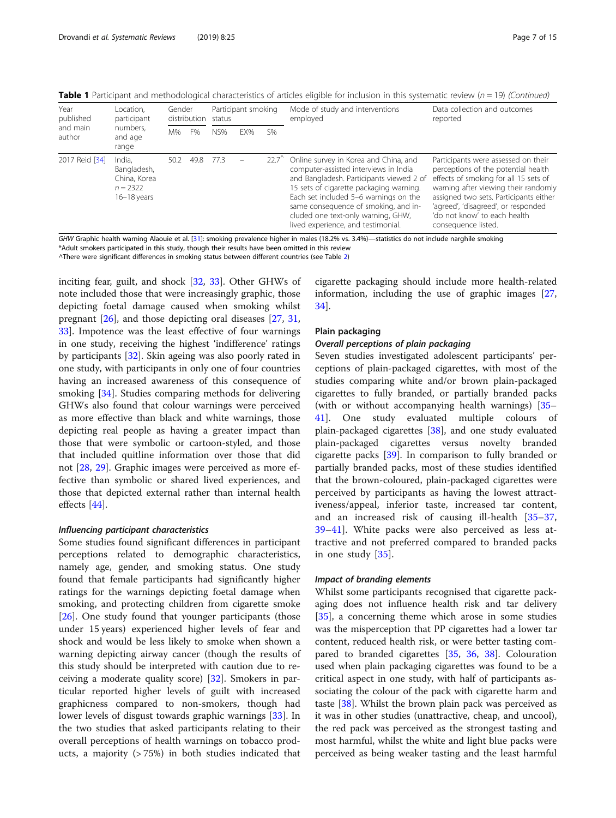**Table 1** Participant and methodological characteristics of articles eligible for inclusion in this systematic review ( $n = 19$ ) (Continued)

| Year<br>published                                                                  | Location.<br>participant                                               | Gender | distribution | status | Participant smoking      |  | Mode of study and interventions<br>employed                                                                                                                                                                                                                                                                                                          | Data collection and outcomes<br>reported                                                                                                                                                                                                                                                            |
|------------------------------------------------------------------------------------|------------------------------------------------------------------------|--------|--------------|--------|--------------------------|--|------------------------------------------------------------------------------------------------------------------------------------------------------------------------------------------------------------------------------------------------------------------------------------------------------------------------------------------------------|-----------------------------------------------------------------------------------------------------------------------------------------------------------------------------------------------------------------------------------------------------------------------------------------------------|
| and main<br>numbers,<br>NS%<br>EX%<br>S%<br>M%<br>F%<br>and age<br>author<br>range |                                                                        |        |              |        |                          |  |                                                                                                                                                                                                                                                                                                                                                      |                                                                                                                                                                                                                                                                                                     |
| 2017 Reid [34]                                                                     | India.<br>Bangladesh,<br>China, Korea<br>$n = 2322$<br>$16 - 18$ years | 50.2   | 49.8         | 77.3   | $\overline{\phantom{0}}$ |  | 22.7 <sup>"</sup> Online survey in Korea and China, and<br>computer-assisted interviews in India<br>and Bangladesh. Participants viewed 2 of<br>15 sets of cigarette packaging warning.<br>Each set included 5-6 warnings on the<br>same consequence of smoking, and in-<br>cluded one text-only warning, GHW,<br>lived experience, and testimonial. | Participants were assessed on their<br>perceptions of the potential health<br>effects of smoking for all 15 sets of<br>warning after viewing their randomly<br>assigned two sets. Participants either<br>'agreed', 'disagreed', or responded<br>'do not know' to each health<br>consequence listed. |

GHW Graphic health warning Alaouie et al. [\[31](#page-14-0)]: smoking prevalence higher in males (18.2% vs. 3.4%)—statistics do not include narghile smoking \*Adult smokers participated in this study, though their results have been omitted in this review ^There were significant differences in smoking status between different countries (see Table [2](#page-7-0))

inciting fear, guilt, and shock [[32](#page-14-0), [33](#page-14-0)]. Other GHWs of note included those that were increasingly graphic, those depicting foetal damage caused when smoking whilst pregnant [[26\]](#page-13-0), and those depicting oral diseases [[27,](#page-13-0) [31](#page-14-0), [33\]](#page-14-0). Impotence was the least effective of four warnings in one study, receiving the highest 'indifference' ratings by participants [[32](#page-14-0)]. Skin ageing was also poorly rated in one study, with participants in only one of four countries having an increased awareness of this consequence of smoking [\[34\]](#page-14-0). Studies comparing methods for delivering GHWs also found that colour warnings were perceived as more effective than black and white warnings, those depicting real people as having a greater impact than those that were symbolic or cartoon-styled, and those that included quitline information over those that did not [[28,](#page-13-0) [29](#page-13-0)]. Graphic images were perceived as more effective than symbolic or shared lived experiences, and those that depicted external rather than internal health effects [[44\]](#page-14-0).

# Influencing participant characteristics

Some studies found significant differences in participant perceptions related to demographic characteristics, namely age, gender, and smoking status. One study found that female participants had significantly higher ratings for the warnings depicting foetal damage when smoking, and protecting children from cigarette smoke [[26\]](#page-13-0). One study found that younger participants (those under 15 years) experienced higher levels of fear and shock and would be less likely to smoke when shown a warning depicting airway cancer (though the results of this study should be interpreted with caution due to receiving a moderate quality score) [[32](#page-14-0)]. Smokers in particular reported higher levels of guilt with increased graphicness compared to non-smokers, though had lower levels of disgust towards graphic warnings [\[33](#page-14-0)]. In the two studies that asked participants relating to their overall perceptions of health warnings on tobacco products, a majority (> 75%) in both studies indicated that

cigarette packaging should include more health-related information, including the use of graphic images [[27](#page-13-0), [34\]](#page-14-0).

## Plain packaging

## Overall perceptions of plain packaging

Seven studies investigated adolescent participants' perceptions of plain-packaged cigarettes, with most of the studies comparing white and/or brown plain-packaged cigarettes to fully branded, or partially branded packs (with or without accompanying health warnings) [[35](#page-14-0)– [41\]](#page-14-0). One study evaluated multiple colours of plain-packaged cigarettes [\[38](#page-14-0)], and one study evaluated plain-packaged cigarettes versus novelty branded cigarette packs [[39\]](#page-14-0). In comparison to fully branded or partially branded packs, most of these studies identified that the brown-coloured, plain-packaged cigarettes were perceived by participants as having the lowest attractiveness/appeal, inferior taste, increased tar content, and an increased risk of causing ill-health [\[35](#page-14-0)–[37](#page-14-0), [39](#page-14-0)–[41\]](#page-14-0). White packs were also perceived as less attractive and not preferred compared to branded packs in one study [\[35](#page-14-0)].

## Impact of branding elements

Whilst some participants recognised that cigarette packaging does not influence health risk and tar delivery [[35\]](#page-14-0), a concerning theme which arose in some studies was the misperception that PP cigarettes had a lower tar content, reduced health risk, or were better tasting compared to branded cigarettes [[35](#page-14-0), [36,](#page-14-0) [38\]](#page-14-0). Colouration used when plain packaging cigarettes was found to be a critical aspect in one study, with half of participants associating the colour of the pack with cigarette harm and taste [\[38\]](#page-14-0). Whilst the brown plain pack was perceived as it was in other studies (unattractive, cheap, and uncool), the red pack was perceived as the strongest tasting and most harmful, whilst the white and light blue packs were perceived as being weaker tasting and the least harmful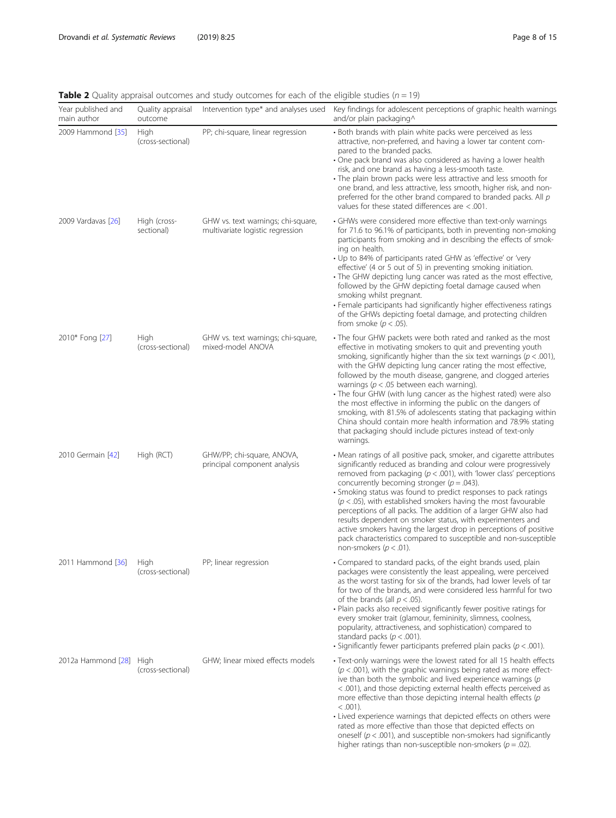<span id="page-7-0"></span>

| <b>Table 2</b> Quality appraisal outcomes and study outcomes for each of the eligible studies ( $n = 19$ ) |
|------------------------------------------------------------------------------------------------------------|
|------------------------------------------------------------------------------------------------------------|

| Year published and<br>main author | Quality appraisal<br>outcome | Intervention type* and analyses used                                   | Key findings for adolescent perceptions of graphic health warnings<br>and/or plain packaging^                                                                                                                                                                                                                                                                                                                                                                                                                                                                                                                                                                                                                                                    |
|-----------------------------------|------------------------------|------------------------------------------------------------------------|--------------------------------------------------------------------------------------------------------------------------------------------------------------------------------------------------------------------------------------------------------------------------------------------------------------------------------------------------------------------------------------------------------------------------------------------------------------------------------------------------------------------------------------------------------------------------------------------------------------------------------------------------------------------------------------------------------------------------------------------------|
| 2009 Hammond [35]                 | High<br>(cross-sectional)    | PP; chi-square, linear regression                                      | • Both brands with plain white packs were perceived as less<br>attractive, non-preferred, and having a lower tar content com-<br>pared to the branded packs.<br>• One pack brand was also considered as having a lower health<br>risk, and one brand as having a less-smooth taste.<br>• The plain brown packs were less attractive and less smooth for<br>one brand, and less attractive, less smooth, higher risk, and non-<br>preferred for the other brand compared to branded packs. All p<br>values for these stated differences are $< .001$ .                                                                                                                                                                                            |
| 2009 Vardavas [26]                | High (cross-<br>sectional)   | GHW vs. text warnings; chi-square,<br>multivariate logistic regression | • GHWs were considered more effective than text-only warnings<br>for 71.6 to 96.1% of participants, both in preventing non-smoking<br>participants from smoking and in describing the effects of smok-<br>ing on health.<br>• Up to 84% of participants rated GHW as 'effective' or 'very<br>effective' (4 or 5 out of 5) in preventing smoking initiation.<br>• The GHW depicting lung cancer was rated as the most effective,<br>followed by the GHW depicting foetal damage caused when<br>smoking whilst pregnant.<br>• Female participants had significantly higher effectiveness ratings<br>of the GHWs depicting foetal damage, and protecting children<br>from smoke ( $p < .05$ ).                                                      |
| 2010* Fong [27]                   | High<br>(cross-sectional)    | GHW vs. text warnings; chi-square,<br>mixed-model ANOVA                | • The four GHW packets were both rated and ranked as the most<br>effective in motivating smokers to quit and preventing youth<br>smoking, significantly higher than the six text warnings ( $p < .001$ ),<br>with the GHW depicting lung cancer rating the most effective,<br>followed by the mouth disease, gangrene, and clogged arteries<br>warnings ( $p < .05$ between each warning).<br>• The four GHW (with lung cancer as the highest rated) were also<br>the most effective in informing the public on the dangers of<br>smoking, with 81.5% of adolescents stating that packaging within<br>China should contain more health information and 78.9% stating<br>that packaging should include pictures instead of text-only<br>warnings. |
| 2010 Germain [42]                 | High (RCT)                   | GHW/PP; chi-square, ANOVA,<br>principal component analysis             | • Mean ratings of all positive pack, smoker, and cigarette attributes<br>significantly reduced as branding and colour were progressively<br>removed from packaging ( $p < .001$ ), with 'lower class' perceptions<br>concurrently becoming stronger ( $p = .043$ ).<br>• Smoking status was found to predict responses to pack ratings<br>$(p < .05)$ , with established smokers having the most favourable<br>perceptions of all packs. The addition of a larger GHW also had<br>results dependent on smoker status, with experimenters and<br>active smokers having the largest drop in perceptions of positive<br>pack characteristics compared to susceptible and non-susceptible<br>non-smokers ( $p < .01$ ).                              |
| 2011 Hammond [36]                 | High<br>(cross-sectional)    | PP; linear regression                                                  | • Compared to standard packs, of the eight brands used, plain<br>packages were consistently the least appealing, were perceived<br>as the worst tasting for six of the brands, had lower levels of tar<br>for two of the brands, and were considered less harmful for two<br>of the brands (all $p < .05$ ).<br>• Plain packs also received significantly fewer positive ratings for<br>every smoker trait (glamour, femininity, slimness, coolness,<br>popularity, attractiveness, and sophistication) compared to<br>standard packs ( $p < .001$ ).<br>• Significantly fewer participants preferred plain packs ( $p < .001$ ).                                                                                                                |
| 2012a Hammond [28] High           | (cross-sectional)            | GHW; linear mixed effects models                                       | • Text-only warnings were the lowest rated for all 15 health effects<br>$(p < .001)$ , with the graphic warnings being rated as more effect-<br>ive than both the symbolic and lived experience warnings $(p)$<br>< .001), and those depicting external health effects perceived as<br>more effective than those depicting internal health effects (p<br>$< .001$ ).<br>• Lived experience warnings that depicted effects on others were<br>rated as more effective than those that depicted effects on<br>oneself ( $p < .001$ ), and susceptible non-smokers had significantly<br>higher ratings than non-susceptible non-smokers ( $p = .02$ ).                                                                                               |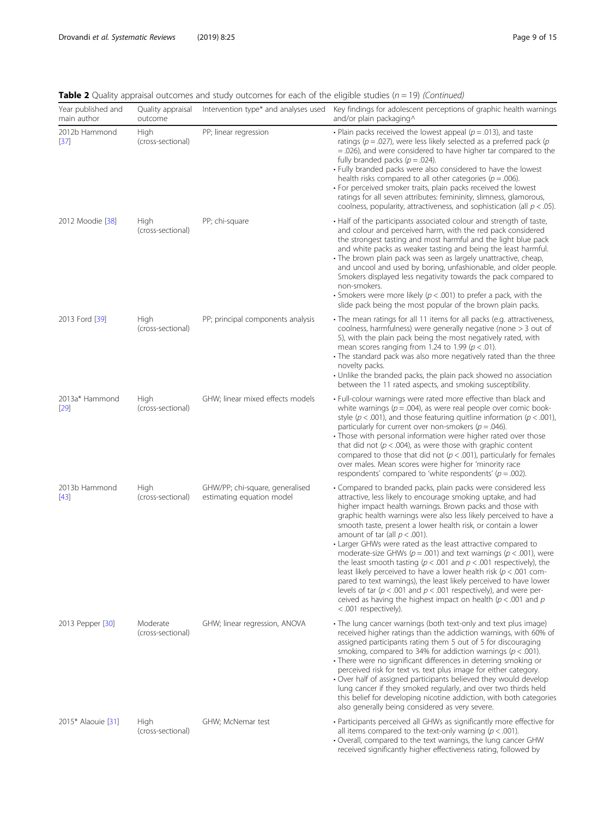| Year published and<br>main author | Quality appraisal<br>outcome  | Intervention type* and analyses used                         | Key findings for adolescent perceptions of graphic health warnings<br>and/or plain packaging^                                                                                                                                                                                                                                                                                                                                                                                                                                                                                                                                                                                                                                                                                                                                                                                                                  |
|-----------------------------------|-------------------------------|--------------------------------------------------------------|----------------------------------------------------------------------------------------------------------------------------------------------------------------------------------------------------------------------------------------------------------------------------------------------------------------------------------------------------------------------------------------------------------------------------------------------------------------------------------------------------------------------------------------------------------------------------------------------------------------------------------------------------------------------------------------------------------------------------------------------------------------------------------------------------------------------------------------------------------------------------------------------------------------|
| 2012b Hammond<br>$[37]$           | High<br>(cross-sectional)     | PP; linear regression                                        | • Plain packs received the lowest appeal ( $p = .013$ ), and taste<br>ratings ( $p = .027$ ), were less likely selected as a preferred pack ( $p$<br>$=$ .026), and were considered to have higher tar compared to the<br>fully branded packs ( $p = .024$ ).<br>• Fully branded packs were also considered to have the lowest<br>health risks compared to all other categories ( $p = .006$ ).<br>• For perceived smoker traits, plain packs received the lowest<br>ratings for all seven attributes: femininity, slimness, glamorous,<br>coolness, popularity, attractiveness, and sophistication (all $p < .05$ ).                                                                                                                                                                                                                                                                                          |
| 2012 Moodie [38]                  | High<br>(cross-sectional)     | PP; chi-square                                               | · Half of the participants associated colour and strength of taste,<br>and colour and perceived harm, with the red pack considered<br>the strongest tasting and most harmful and the light blue pack<br>and white packs as weaker tasting and being the least harmful.<br>• The brown plain pack was seen as largely unattractive, cheap,<br>and uncool and used by boring, unfashionable, and older people.<br>Smokers displayed less negativity towards the pack compared to<br>non-smokers.<br>• Smokers were more likely ( $p < .001$ ) to prefer a pack, with the<br>slide pack being the most popular of the brown plain packs.                                                                                                                                                                                                                                                                          |
| 2013 Ford [39]                    | High<br>(cross-sectional)     | PP; principal components analysis                            | • The mean ratings for all 11 items for all packs (e.g. attractiveness,<br>coolness, harmfulness) were generally negative (none > 3 out of<br>5), with the plain pack being the most negatively rated, with<br>mean scores ranging from 1.24 to 1.99 ( $p < .01$ ).<br>• The standard pack was also more negatively rated than the three<br>novelty packs.<br>• Unlike the branded packs, the plain pack showed no association<br>between the 11 rated aspects, and smoking susceptibility.                                                                                                                                                                                                                                                                                                                                                                                                                    |
| 2013a* Hammond<br>$[29]$          | High<br>(cross-sectional)     | GHW; linear mixed effects models                             | • Full-colour warnings were rated more effective than black and<br>white warnings ( $p = .004$ ), as were real people over comic book-<br>style ( $p < .001$ ), and those featuring quitline information ( $p < .001$ ),<br>particularly for current over non-smokers ( $p = .046$ ).<br>• Those with personal information were higher rated over those<br>that did not ( $p < .004$ ), as were those with graphic content<br>compared to those that did not ( $p < .001$ ), particularly for females<br>over males. Mean scores were higher for 'minority race<br>respondents' compared to 'white respondents' ( $p = .002$ ).                                                                                                                                                                                                                                                                                |
| 2013b Hammond<br>$[43]$           | High<br>(cross-sectional)     | GHW/PP; chi-square, generalised<br>estimating equation model | • Compared to branded packs, plain packs were considered less<br>attractive, less likely to encourage smoking uptake, and had<br>higher impact health warnings. Brown packs and those with<br>graphic health warnings were also less likely perceived to have a<br>smooth taste, present a lower health risk, or contain a lower<br>amount of tar (all $p < .001$ ).<br>• Larger GHWs were rated as the least attractive compared to<br>moderate-size GHWs ( $p = .001$ ) and text warnings ( $p < .001$ ), were<br>the least smooth tasting ( $p < .001$ and $p < .001$ respectively), the<br>least likely perceived to have a lower health risk ( $p < .001$ com-<br>pared to text warnings), the least likely perceived to have lower<br>levels of tar ( $p < .001$ and $p < .001$ respectively), and were per-<br>ceived as having the highest impact on health ( $p < .001$ and p<br><.001 respectively). |
| 2013 Pepper [30]                  | Moderate<br>(cross-sectional) | GHW; linear regression, ANOVA                                | • The lung cancer warnings (both text-only and text plus image)<br>received higher ratings than the addiction warnings, with 60% of<br>assigned participants rating them 5 out of 5 for discouraging<br>smoking, compared to 34% for addiction warnings ( $p < .001$ ).<br>• There were no significant differences in deterring smoking or<br>perceived risk for text vs. text plus image for either category.<br>• Over half of assigned participants believed they would develop<br>lung cancer if they smoked regularly, and over two thirds held<br>this belief for developing nicotine addiction, with both categories<br>also generally being considered as very severe.                                                                                                                                                                                                                                 |
| 2015* Alaouie [31]                | High<br>(cross-sectional)     | GHW; McNemar test                                            | • Participants perceived all GHWs as significantly more effective for<br>all items compared to the text-only warning ( $p < .001$ ).<br>• Overall, compared to the text warnings, the lung cancer GHW<br>received significantly higher effectiveness rating, followed by                                                                                                                                                                                                                                                                                                                                                                                                                                                                                                                                                                                                                                       |

| <b>Table 2</b> Quality appraisal outcomes and study outcomes for each of the eligible studies ( $n = 19$ ) (Continued) |  |  |
|------------------------------------------------------------------------------------------------------------------------|--|--|
|                                                                                                                        |  |  |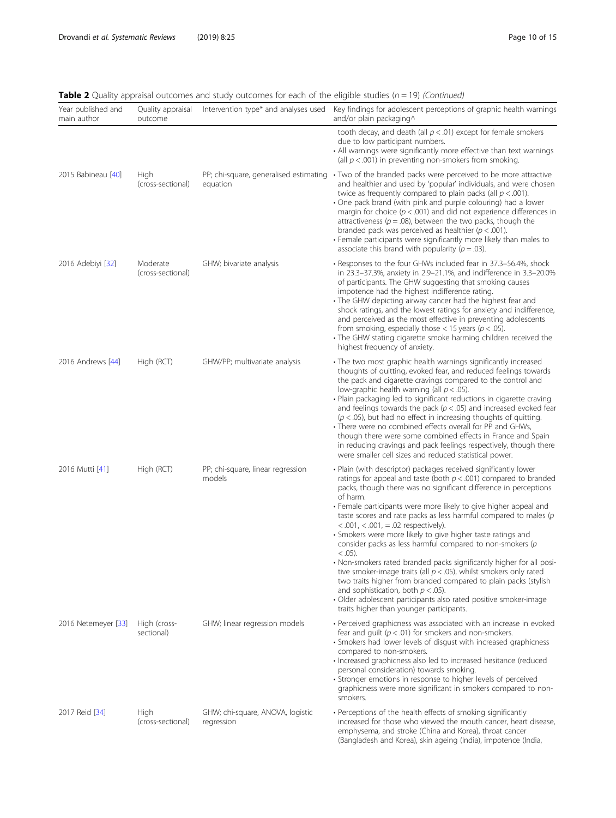| Year published and<br>main author | Quality appraisal<br>outcome  | Intervention type* and analyses used           | Key findings for adolescent perceptions of graphic health warnings<br>and/or plain packaging^                                                                                                                                                                                                                                                                                                                                                                                                                                                                                                                                                                                                                                                                                                                                                                                                                                        |
|-----------------------------------|-------------------------------|------------------------------------------------|--------------------------------------------------------------------------------------------------------------------------------------------------------------------------------------------------------------------------------------------------------------------------------------------------------------------------------------------------------------------------------------------------------------------------------------------------------------------------------------------------------------------------------------------------------------------------------------------------------------------------------------------------------------------------------------------------------------------------------------------------------------------------------------------------------------------------------------------------------------------------------------------------------------------------------------|
|                                   |                               |                                                | tooth decay, and death (all $p < .01$ ) except for female smokers<br>due to low participant numbers.<br>• All warnings were significantly more effective than text warnings<br>(all $p < .001$ ) in preventing non-smokers from smoking.                                                                                                                                                                                                                                                                                                                                                                                                                                                                                                                                                                                                                                                                                             |
| 2015 Babineau [40]                | High<br>(cross-sectional)     | equation                                       | PP; chi-square, generalised estimating $\cdot$ Two of the branded packs were perceived to be more attractive<br>and healthier and used by 'popular' individuals, and were chosen<br>twice as frequently compared to plain packs (all $p < .001$ ).<br>• One pack brand (with pink and purple colouring) had a lower<br>margin for choice ( $p < .001$ ) and did not experience differences in<br>attractiveness ( $p = .08$ ), between the two packs, though the<br>branded pack was perceived as healthier ( $p < .001$ ).<br>• Female participants were significantly more likely than males to<br>associate this brand with popularity ( $p = .03$ ).                                                                                                                                                                                                                                                                             |
| 2016 Adebiyi [32]                 | Moderate<br>(cross-sectional) | GHW; bivariate analysis                        | • Responses to the four GHWs included fear in 37.3-56.4%, shock<br>in 23.3-37.3%, anxiety in 2.9-21.1%, and indifference in 3.3-20.0%<br>of participants. The GHW suggesting that smoking causes<br>impotence had the highest indifference rating.<br>• The GHW depicting airway cancer had the highest fear and<br>shock ratings, and the lowest ratings for anxiety and indifference,<br>and perceived as the most effective in preventing adolescents<br>from smoking, especially those $<$ 15 years ( $p$ < .05).<br>• The GHW stating cigarette smoke harming children received the<br>highest frequency of anxiety.                                                                                                                                                                                                                                                                                                            |
| 2016 Andrews [44]                 | High (RCT)                    | GHW/PP; multivariate analysis                  | • The two most graphic health warnings significantly increased<br>thoughts of quitting, evoked fear, and reduced feelings towards<br>the pack and cigarette cravings compared to the control and<br>low-graphic health warning (all $p < .05$ ).<br>· Plain packaging led to significant reductions in cigarette craving<br>and feelings towards the pack ( $p < .05$ ) and increased evoked fear<br>$(p < .05)$ , but had no effect in increasing thoughts of quitting.<br>• There were no combined effects overall for PP and GHWs,<br>though there were some combined effects in France and Spain<br>in reducing cravings and pack feelings respectively, though there<br>were smaller cell sizes and reduced statistical power.                                                                                                                                                                                                  |
| 2016 Mutti [41]                   | High (RCT)                    | PP; chi-square, linear regression<br>models    | · Plain (with descriptor) packages received significantly lower<br>ratings for appeal and taste (both $p < .001$ ) compared to branded<br>packs, though there was no significant difference in perceptions<br>of harm.<br>· Female participants were more likely to give higher appeal and<br>taste scores and rate packs as less harmful compared to males $(p)$<br>$< .001, < .001, = .02$ respectively).<br>• Smokers were more likely to give higher taste ratings and<br>consider packs as less harmful compared to non-smokers ( $p$<br>$< .05$ ).<br>• Non-smokers rated branded packs significantly higher for all posi-<br>tive smoker-image traits (all $p < .05$ ), whilst smokers only rated<br>two traits higher from branded compared to plain packs (stylish<br>and sophistication, both $p < .05$ ).<br>· Older adolescent participants also rated positive smoker-image<br>traits higher than younger participants. |
| 2016 Netemeyer [33]               | High (cross-<br>sectional)    | GHW; linear regression models                  | • Perceived graphicness was associated with an increase in evoked<br>fear and quilt ( $p < .01$ ) for smokers and non-smokers.<br>• Smokers had lower levels of disgust with increased graphicness<br>compared to non-smokers.<br>· Increased graphicness also led to increased hesitance (reduced<br>personal consideration) towards smoking.<br>• Stronger emotions in response to higher levels of perceived<br>graphicness were more significant in smokers compared to non-<br>smokers.                                                                                                                                                                                                                                                                                                                                                                                                                                         |
| 2017 Reid [34]                    | High<br>(cross-sectional)     | GHW; chi-square, ANOVA, logistic<br>regression | • Perceptions of the health effects of smoking significantly<br>increased for those who viewed the mouth cancer, heart disease,<br>emphysema, and stroke (China and Korea), throat cancer                                                                                                                                                                                                                                                                                                                                                                                                                                                                                                                                                                                                                                                                                                                                            |

(Bangladesh and Korea), skin ageing (India), impotence (India,

**Table 2** Quality appraisal outcomes and study outcomes for each of the eligible studies ( $n = 19$ ) (Continued)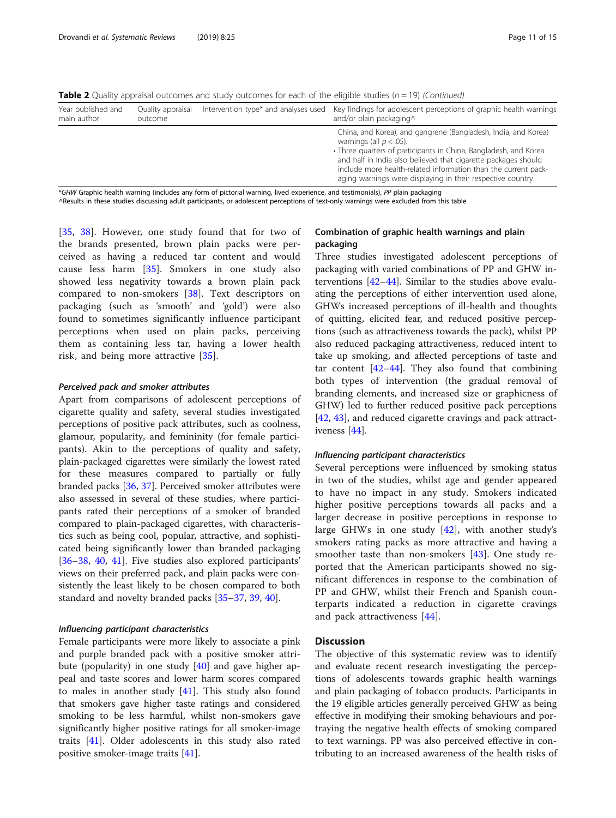**Table 2** Quality appraisal outcomes and study outcomes for each of the eligible studies ( $n = 19$ ) (Continued)

| Year published and<br>main author | Quality appraisal<br>outcome | Intervention type* and analyses used | Key findings for adolescent perceptions of graphic health warnings<br>and/or plain packaging^                                                                                                                                                                                                                                                                       |
|-----------------------------------|------------------------------|--------------------------------------|---------------------------------------------------------------------------------------------------------------------------------------------------------------------------------------------------------------------------------------------------------------------------------------------------------------------------------------------------------------------|
|                                   |                              |                                      | China, and Korea), and gangrene (Bangladesh, India, and Korea)<br>warnings (all $p < .05$ ).<br>• Three quarters of participants in China, Bangladesh, and Korea<br>and half in India also believed that cigarette packages should<br>include more health-related information than the current pack-<br>aging warnings were displaying in their respective country. |
|                                   |                              |                                      |                                                                                                                                                                                                                                                                                                                                                                     |

\*GHW Graphic health warning (includes any form of pictorial warning, lived experience, and testimonials), PP plain packaging ^Results in these studies discussing adult participants, or adolescent perceptions of text-only warnings were excluded from this table

[[35,](#page-14-0) [38\]](#page-14-0). However, one study found that for two of the brands presented, brown plain packs were perceived as having a reduced tar content and would cause less harm [\[35](#page-14-0)]. Smokers in one study also showed less negativity towards a brown plain pack compared to non-smokers [[38\]](#page-14-0). Text descriptors on packaging (such as 'smooth' and 'gold') were also found to sometimes significantly influence participant perceptions when used on plain packs, perceiving them as containing less tar, having a lower health risk, and being more attractive [[35\]](#page-14-0).

## Perceived pack and smoker attributes

Apart from comparisons of adolescent perceptions of cigarette quality and safety, several studies investigated perceptions of positive pack attributes, such as coolness, glamour, popularity, and femininity (for female participants). Akin to the perceptions of quality and safety, plain-packaged cigarettes were similarly the lowest rated for these measures compared to partially or fully branded packs [[36,](#page-14-0) [37](#page-14-0)]. Perceived smoker attributes were also assessed in several of these studies, where participants rated their perceptions of a smoker of branded compared to plain-packaged cigarettes, with characteristics such as being cool, popular, attractive, and sophisticated being significantly lower than branded packaging [[36](#page-14-0)–[38](#page-14-0), [40,](#page-14-0) [41\]](#page-14-0). Five studies also explored participants' views on their preferred pack, and plain packs were consistently the least likely to be chosen compared to both standard and novelty branded packs [[35](#page-14-0)–[37](#page-14-0), [39](#page-14-0), [40](#page-14-0)].

#### Influencing participant characteristics

Female participants were more likely to associate a pink and purple branded pack with a positive smoker attribute (popularity) in one study [[40\]](#page-14-0) and gave higher appeal and taste scores and lower harm scores compared to males in another study [[41](#page-14-0)]. This study also found that smokers gave higher taste ratings and considered smoking to be less harmful, whilst non-smokers gave significantly higher positive ratings for all smoker-image traits [\[41\]](#page-14-0). Older adolescents in this study also rated positive smoker-image traits [[41](#page-14-0)].

# Combination of graphic health warnings and plain packaging

Three studies investigated adolescent perceptions of packaging with varied combinations of PP and GHW interventions [[42](#page-14-0)–[44](#page-14-0)]. Similar to the studies above evaluating the perceptions of either intervention used alone, GHWs increased perceptions of ill-health and thoughts of quitting, elicited fear, and reduced positive perceptions (such as attractiveness towards the pack), whilst PP also reduced packaging attractiveness, reduced intent to take up smoking, and affected perceptions of taste and tar content  $[42-44]$  $[42-44]$  $[42-44]$  $[42-44]$ . They also found that combining both types of intervention (the gradual removal of branding elements, and increased size or graphicness of GHW) led to further reduced positive pack perceptions [[42,](#page-14-0) [43\]](#page-14-0), and reduced cigarette cravings and pack attractiveness [[44\]](#page-14-0).

# Influencing participant characteristics

Several perceptions were influenced by smoking status in two of the studies, whilst age and gender appeared to have no impact in any study. Smokers indicated higher positive perceptions towards all packs and a larger decrease in positive perceptions in response to large GHWs in one study [\[42](#page-14-0)], with another study's smokers rating packs as more attractive and having a smoother taste than non-smokers [[43\]](#page-14-0). One study reported that the American participants showed no significant differences in response to the combination of PP and GHW, whilst their French and Spanish counterparts indicated a reduction in cigarette cravings and pack attractiveness [[44\]](#page-14-0).

## **Discussion**

The objective of this systematic review was to identify and evaluate recent research investigating the perceptions of adolescents towards graphic health warnings and plain packaging of tobacco products. Participants in the 19 eligible articles generally perceived GHW as being effective in modifying their smoking behaviours and portraying the negative health effects of smoking compared to text warnings. PP was also perceived effective in contributing to an increased awareness of the health risks of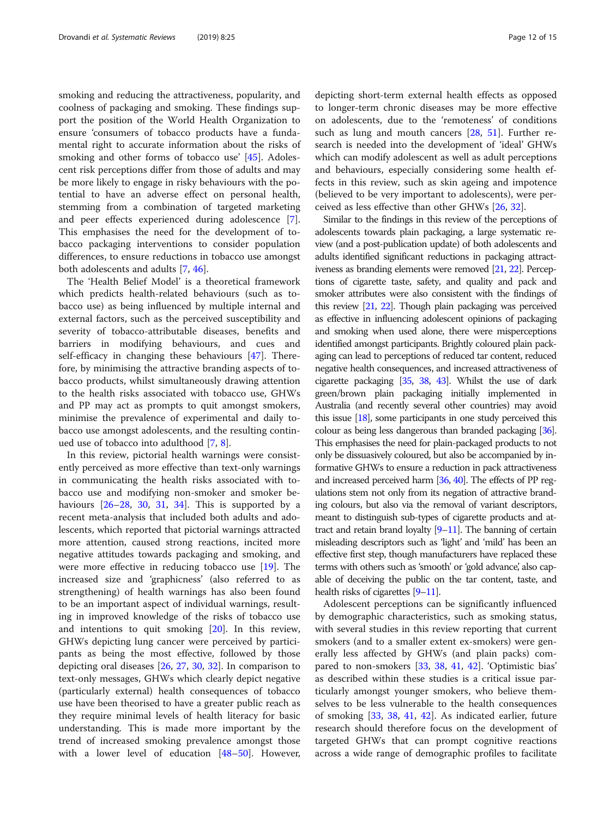smoking and reducing the attractiveness, popularity, and coolness of packaging and smoking. These findings support the position of the World Health Organization to ensure 'consumers of tobacco products have a fundamental right to accurate information about the risks of smoking and other forms of tobacco use' [\[45](#page-14-0)]. Adolescent risk perceptions differ from those of adults and may be more likely to engage in risky behaviours with the potential to have an adverse effect on personal health, stemming from a combination of targeted marketing and peer effects experienced during adolescence [\[7](#page-13-0)]. This emphasises the need for the development of tobacco packaging interventions to consider population differences, to ensure reductions in tobacco use amongst both adolescents and adults [[7,](#page-13-0) [46](#page-14-0)].

The 'Health Belief Model' is a theoretical framework which predicts health-related behaviours (such as tobacco use) as being influenced by multiple internal and external factors, such as the perceived susceptibility and severity of tobacco-attributable diseases, benefits and barriers in modifying behaviours, and cues and self-efficacy in changing these behaviours [[47](#page-14-0)]. Therefore, by minimising the attractive branding aspects of tobacco products, whilst simultaneously drawing attention to the health risks associated with tobacco use, GHWs and PP may act as prompts to quit amongst smokers, minimise the prevalence of experimental and daily tobacco use amongst adolescents, and the resulting continued use of tobacco into adulthood [\[7](#page-13-0), [8](#page-13-0)].

In this review, pictorial health warnings were consistently perceived as more effective than text-only warnings in communicating the health risks associated with tobacco use and modifying non-smoker and smoker behaviours  $[26-28, 30, 31, 34]$  $[26-28, 30, 31, 34]$  $[26-28, 30, 31, 34]$  $[26-28, 30, 31, 34]$  $[26-28, 30, 31, 34]$  $[26-28, 30, 31, 34]$  $[26-28, 30, 31, 34]$  $[26-28, 30, 31, 34]$  $[26-28, 30, 31, 34]$  $[26-28, 30, 31, 34]$  $[26-28, 30, 31, 34]$ . This is supported by a recent meta-analysis that included both adults and adolescents, which reported that pictorial warnings attracted more attention, caused strong reactions, incited more negative attitudes towards packaging and smoking, and were more effective in reducing tobacco use [[19\]](#page-13-0). The increased size and 'graphicness' (also referred to as strengthening) of health warnings has also been found to be an important aspect of individual warnings, resulting in improved knowledge of the risks of tobacco use and intentions to quit smoking [\[20](#page-13-0)]. In this review, GHWs depicting lung cancer were perceived by participants as being the most effective, followed by those depicting oral diseases [\[26](#page-13-0), [27](#page-13-0), [30,](#page-14-0) [32\]](#page-14-0). In comparison to text-only messages, GHWs which clearly depict negative (particularly external) health consequences of tobacco use have been theorised to have a greater public reach as they require minimal levels of health literacy for basic understanding. This is made more important by the trend of increased smoking prevalence amongst those with a lower level of education [\[48](#page-14-0)–[50\]](#page-14-0). However,

depicting short-term external health effects as opposed to longer-term chronic diseases may be more effective on adolescents, due to the 'remoteness' of conditions such as lung and mouth cancers [[28](#page-13-0), [51](#page-14-0)]. Further research is needed into the development of 'ideal' GHWs which can modify adolescent as well as adult perceptions and behaviours, especially considering some health effects in this review, such as skin ageing and impotence (believed to be very important to adolescents), were perceived as less effective than other GHWs [[26,](#page-13-0) [32\]](#page-14-0).

Similar to the findings in this review of the perceptions of adolescents towards plain packaging, a large systematic review (and a post-publication update) of both adolescents and adults identified significant reductions in packaging attract-iveness as branding elements were removed [[21,](#page-13-0) [22\]](#page-13-0). Perceptions of cigarette taste, safety, and quality and pack and smoker attributes were also consistent with the findings of this review [\[21,](#page-13-0) [22](#page-13-0)]. Though plain packaging was perceived as effective in influencing adolescent opinions of packaging and smoking when used alone, there were misperceptions identified amongst participants. Brightly coloured plain packaging can lead to perceptions of reduced tar content, reduced negative health consequences, and increased attractiveness of cigarette packaging [\[35](#page-14-0), [38,](#page-14-0) [43](#page-14-0)]. Whilst the use of dark green/brown plain packaging initially implemented in Australia (and recently several other countries) may avoid this issue [\[18](#page-13-0)], some participants in one study perceived this colour as being less dangerous than branded packaging [\[36\]](#page-14-0). This emphasises the need for plain-packaged products to not only be dissuasively coloured, but also be accompanied by informative GHWs to ensure a reduction in pack attractiveness and increased perceived harm [[36,](#page-14-0) [40\]](#page-14-0). The effects of PP regulations stem not only from its negation of attractive branding colours, but also via the removal of variant descriptors, meant to distinguish sub-types of cigarette products and attract and retain brand loyalty  $[9-11]$  $[9-11]$  $[9-11]$  $[9-11]$  $[9-11]$ . The banning of certain misleading descriptors such as 'light' and 'mild' has been an effective first step, though manufacturers have replaced these terms with others such as 'smooth' or 'gold advance', also capable of deceiving the public on the tar content, taste, and health risks of cigarettes [\[9](#page-13-0)–[11](#page-13-0)].

Adolescent perceptions can be significantly influenced by demographic characteristics, such as smoking status, with several studies in this review reporting that current smokers (and to a smaller extent ex-smokers) were generally less affected by GHWs (and plain packs) compared to non-smokers [\[33](#page-14-0), [38](#page-14-0), [41](#page-14-0), [42](#page-14-0)]. 'Optimistic bias' as described within these studies is a critical issue particularly amongst younger smokers, who believe themselves to be less vulnerable to the health consequences of smoking [[33,](#page-14-0) [38,](#page-14-0) [41,](#page-14-0) [42\]](#page-14-0). As indicated earlier, future research should therefore focus on the development of targeted GHWs that can prompt cognitive reactions across a wide range of demographic profiles to facilitate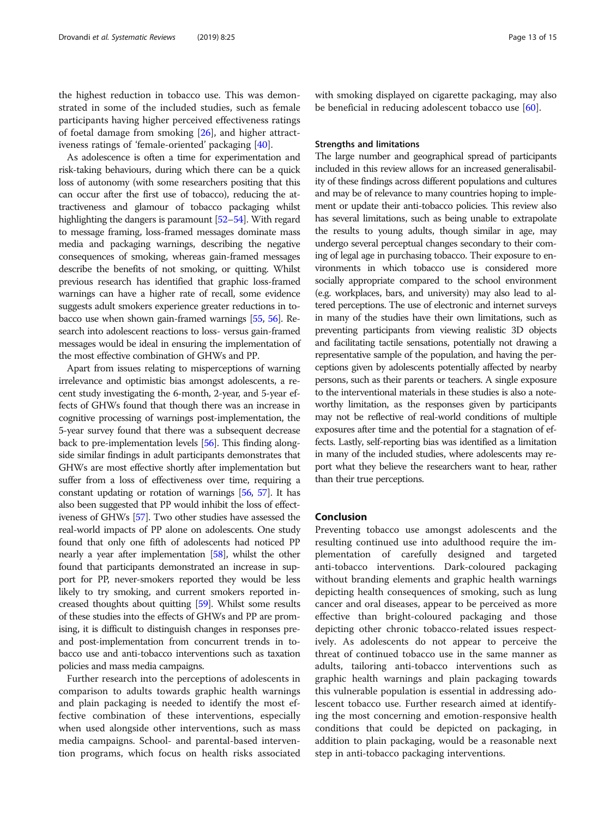the highest reduction in tobacco use. This was demonstrated in some of the included studies, such as female participants having higher perceived effectiveness ratings of foetal damage from smoking [[26\]](#page-13-0), and higher attractiveness ratings of 'female-oriented' packaging [[40\]](#page-14-0).

As adolescence is often a time for experimentation and risk-taking behaviours, during which there can be a quick loss of autonomy (with some researchers positing that this can occur after the first use of tobacco), reducing the attractiveness and glamour of tobacco packaging whilst highlighting the dangers is paramount [[52](#page-14-0)–[54](#page-14-0)]. With regard to message framing, loss-framed messages dominate mass media and packaging warnings, describing the negative consequences of smoking, whereas gain-framed messages describe the benefits of not smoking, or quitting. Whilst previous research has identified that graphic loss-framed warnings can have a higher rate of recall, some evidence suggests adult smokers experience greater reductions in tobacco use when shown gain-framed warnings [\[55,](#page-14-0) [56\]](#page-14-0). Research into adolescent reactions to loss- versus gain-framed messages would be ideal in ensuring the implementation of the most effective combination of GHWs and PP.

Apart from issues relating to misperceptions of warning irrelevance and optimistic bias amongst adolescents, a recent study investigating the 6-month, 2-year, and 5-year effects of GHWs found that though there was an increase in cognitive processing of warnings post-implementation, the 5-year survey found that there was a subsequent decrease back to pre-implementation levels [\[56\]](#page-14-0). This finding alongside similar findings in adult participants demonstrates that GHWs are most effective shortly after implementation but suffer from a loss of effectiveness over time, requiring a constant updating or rotation of warnings [[56](#page-14-0), [57](#page-14-0)]. It has also been suggested that PP would inhibit the loss of effectiveness of GHWs [\[57\]](#page-14-0). Two other studies have assessed the real-world impacts of PP alone on adolescents. One study found that only one fifth of adolescents had noticed PP nearly a year after implementation [\[58\]](#page-14-0), whilst the other found that participants demonstrated an increase in support for PP, never-smokers reported they would be less likely to try smoking, and current smokers reported increased thoughts about quitting [[59](#page-14-0)]. Whilst some results of these studies into the effects of GHWs and PP are promising, it is difficult to distinguish changes in responses preand post-implementation from concurrent trends in tobacco use and anti-tobacco interventions such as taxation policies and mass media campaigns.

Further research into the perceptions of adolescents in comparison to adults towards graphic health warnings and plain packaging is needed to identify the most effective combination of these interventions, especially when used alongside other interventions, such as mass media campaigns. School- and parental-based intervention programs, which focus on health risks associated

with smoking displayed on cigarette packaging, may also be beneficial in reducing adolescent tobacco use [\[60](#page-14-0)].

## Strengths and limitations

The large number and geographical spread of participants included in this review allows for an increased generalisability of these findings across different populations and cultures and may be of relevance to many countries hoping to implement or update their anti-tobacco policies. This review also has several limitations, such as being unable to extrapolate the results to young adults, though similar in age, may undergo several perceptual changes secondary to their coming of legal age in purchasing tobacco. Their exposure to environments in which tobacco use is considered more socially appropriate compared to the school environment (e.g. workplaces, bars, and university) may also lead to altered perceptions. The use of electronic and internet surveys in many of the studies have their own limitations, such as preventing participants from viewing realistic 3D objects and facilitating tactile sensations, potentially not drawing a representative sample of the population, and having the perceptions given by adolescents potentially affected by nearby persons, such as their parents or teachers. A single exposure to the interventional materials in these studies is also a noteworthy limitation, as the responses given by participants may not be reflective of real-world conditions of multiple exposures after time and the potential for a stagnation of effects. Lastly, self-reporting bias was identified as a limitation in many of the included studies, where adolescents may report what they believe the researchers want to hear, rather than their true perceptions.

## Conclusion

Preventing tobacco use amongst adolescents and the resulting continued use into adulthood require the implementation of carefully designed and targeted anti-tobacco interventions. Dark-coloured packaging without branding elements and graphic health warnings depicting health consequences of smoking, such as lung cancer and oral diseases, appear to be perceived as more effective than bright-coloured packaging and those depicting other chronic tobacco-related issues respectively. As adolescents do not appear to perceive the threat of continued tobacco use in the same manner as adults, tailoring anti-tobacco interventions such as graphic health warnings and plain packaging towards this vulnerable population is essential in addressing adolescent tobacco use. Further research aimed at identifying the most concerning and emotion-responsive health conditions that could be depicted on packaging, in addition to plain packaging, would be a reasonable next step in anti-tobacco packaging interventions.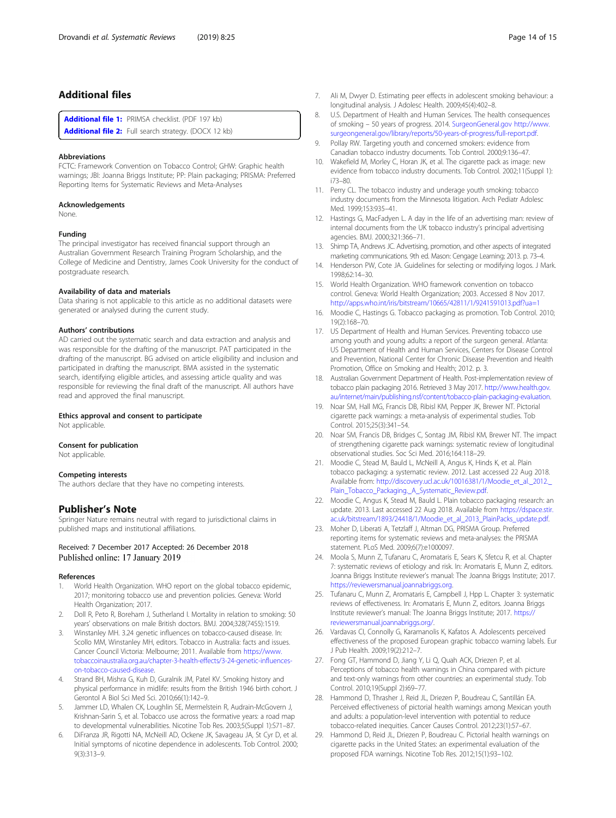# <span id="page-13-0"></span>Additional files

[Additional file 1:](https://doi.org/10.1186/s13643-018-0933-0) PRIMSA checklist. (PDF 197 kb) [Additional file 2:](https://doi.org/10.1186/s13643-018-0933-0) Full search strategy. (DOCX 12 kb)

#### Abbreviations

FCTC: Framework Convention on Tobacco Control; GHW: Graphic health warnings; JBI: Joanna Briggs Institute; PP: Plain packaging; PRISMA: Preferred Reporting Items for Systematic Reviews and Meta-Analyses

#### Acknowledgements

None.

## Funding

The principal investigator has received financial support through an Australian Government Research Training Program Scholarship, and the College of Medicine and Dentistry, James Cook University for the conduct of postgraduate research.

## Availability of data and materials

Data sharing is not applicable to this article as no additional datasets were generated or analysed during the current study.

#### Authors' contributions

AD carried out the systematic search and data extraction and analysis and was responsible for the drafting of the manuscript. PAT participated in the drafting of the manuscript. BG advised on article eligibility and inclusion and participated in drafting the manuscript. BMA assisted in the systematic search, identifying eligible articles, and assessing article quality and was responsible for reviewing the final draft of the manuscript. All authors have read and approved the final manuscript.

#### Ethics approval and consent to participate

Not applicable.

## Consent for publication

Not applicable.

## Competing interests

The authors declare that they have no competing interests.

# Publisher's Note

Springer Nature remains neutral with regard to jurisdictional claims in published maps and institutional affiliations.

## Received: 7 December 2017 Accepted: 26 December 2018 Published online: 17 January 2019

#### References

- World Health Organization. WHO report on the global tobacco epidemic, 2017; monitoring tobacco use and prevention policies. Geneva: World Health Organization; 2017.
- 2. Doll R, Peto R, Boreham J, Sutherland I. Mortality in relation to smoking: 50 years' observations on male British doctors. BMJ. 2004;328(7455):1519.
- Winstanley MH. 3.24 genetic influences on tobacco-caused disease. In: Scollo MM, Winstanley MH, editors. Tobacco in Australia: facts and issues. Cancer Council Victoria: Melbourne; 2011. Available from https://www. tobaccoinaustralia.org.au/chapter-3-health-effects/3-24-genetic-influenceson-tobacco-caused-disease.
- 4. Strand BH, Mishra G, Kuh D, Guralnik JM, Patel KV. Smoking history and physical performance in midlife: results from the British 1946 birth cohort. J Gerontol A Biol Sci Med Sci. 2010;66(1):142–9.
- 5. Jammer LD, Whalen CK, Loughlin SE, Mermelstein R, Audrain-McGovern J, Krishnan-Sarin S, et al. Tobacco use across the formative years: a road map to developmental vulnerabilities. Nicotine Tob Res. 2003;5(Suppl 1):S71–87.
- DiFranza JR, Rigotti NA, McNeill AD, Ockene JK, Savageau JA, St Cyr D, et al. Initial symptoms of nicotine dependence in adolescents. Tob Control. 2000; 9(3):313–9.
- 7. Ali M, Dwyer D. Estimating peer effects in adolescent smoking behaviour: a longitudinal analysis. J Adolesc Health. 2009;45(4):402–8.
- 8. U.S. Department of Health and Human Services. The health consequences of smoking – 50 years of progress. 2014. SurgeonGeneral.gov http://www. surgeongeneral.gov/library/reports/50-years-of-progress/full-report.pdf.
- 9. Pollay RW. Targeting youth and concerned smokers: evidence from Canadian tobacco industry documents. Tob Control. 2000;9:136–47.
- 10. Wakefield M, Morley C, Horan JK, et al. The cigarette pack as image: new evidence from tobacco industry documents. Tob Control. 2002;11(Suppl 1): i73–80.
- 11. Perry CL. The tobacco industry and underage youth smoking: tobacco industry documents from the Minnesota litigation. Arch Pediatr Adolesc Med. 1999;153:935–41.
- 12. Hastings G, MacFadyen L. A day in the life of an advertising man: review of internal documents from the UK tobacco industry's principal advertising agencies. BMJ. 2000;321:366–71.
- 13. Shimp TA, Andrews JC. Advertising, promotion, and other aspects of integrated marketing communications. 9th ed. Mason: Cengage Learning; 2013. p. 73–4.
- 14. Henderson PW, Cote JA. Guidelines for selecting or modifying logos. J Mark. 1998;62:14–30.
- 15. World Health Organization. WHO framework convention on tobacco control. Geneva: World Health Organization; 2003. Accessed 8 Nov 2017. http://apps.who.int/iris/bitstream/10665/42811/1/9241591013.pdf?ua=1
- 16. Moodie C, Hastings G. Tobacco packaging as promotion. Tob Control. 2010; 19(2):168–70.
- 17. US Department of Health and Human Services. Preventing tobacco use among youth and young adults: a report of the surgeon general. Atlanta: US Department of Health and Human Services, Centers for Disease Control and Prevention, National Center for Chronic Disease Prevention and Health Promotion, Office on Smoking and Health; 2012. p. 3.
- 18. Australian Government Department of Health. Post-implementation review of tobacco plain packaging 2016. Retrieved 3 May 2017. http://www.health.gov. au/internet/main/publishing.nsf/content/tobacco-plain-packaging-evaluation.
- 19. Noar SM, Hall MG, Francis DB, Ribisl KM, Pepper JK, Brewer NT. Pictorial cigarette pack warnings: a meta-analysis of experimental studies. Tob Control. 2015;25(3):341–54.
- 20. Noar SM, Francis DB, Bridges C, Sontag JM, Ribisl KM, Brewer NT. The impact of strengthening cigarette pack warnings: systematic review of longitudinal observational studies. Soc Sci Med. 2016;164:118–29.
- 21. Moodie C, Stead M, Bauld L, McNeill A, Angus K, Hinds K, et al. Plain tobacco packaging: a systematic review. 2012. Last accessed 22 Aug 2018. Available from: http://discovery.ucl.ac.uk/10016381/1/Moodie\_et\_al.\_2012.\_ Plain\_Tobacco\_Packaging.\_A\_Systematic\_Review.pdf.
- 22. Moodie C, Angus K, Stead M, Bauld L. Plain tobacco packaging research: an update. 2013. Last accessed 22 Aug 2018. Available from https://dspace.stir. ac.uk/bitstream/1893/24418/1/Moodie\_et\_al\_2013\_PlainPacks\_update.pdf.
- 23. Moher D, Liberati A, Tetzlaff J, Altman DG, PRISMA Group. Preferred reporting items for systematic reviews and meta-analyses: the PRISMA statement. PLoS Med. 2009;6(7):e1000097.
- 24. Moola S, Munn Z, Tufanaru C, Aromataris E, Sears K, Sfetcu R, et al. Chapter 7: systematic reviews of etiology and risk. In: Aromataris E, Munn Z, editors. Joanna Briggs Institute reviewer's manual: The Joanna Briggs Institute; 2017. https://reviewersmanual.joannabriggs.org.
- 25. Tufanaru C, Munn Z, Aromataris E, Campbell J, Hpp L. Chapter 3: systematic reviews of effectiveness. In: Aromataris E, Munn Z, editors. Joanna Briggs Institute reviewer's manual: The Joanna Briggs Institute; 2017. https:// reviewersmanual.joannabriggs.org/.
- 26. Vardavas CI, Connolly G, Karamanolis K, Kafatos A. Adolescents perceived effectiveness of the proposed European graphic tobacco warning labels. Eur J Pub Health. 2009;19(2):212–7.
- 27. Fong GT, Hammond D, Jiang Y, Li Q, Quah ACK, Driezen P, et al. Perceptions of tobacco health warnings in China compared with picture and text-only warnings from other countries: an experimental study. Tob Control. 2010;19(Suppl 2):i69–77.
- 28. Hammond D, Thrasher J, Reid JL, Driezen P, Boudreau C, Santillán EA. Perceived effectiveness of pictorial health warnings among Mexican youth and adults: a population-level intervention with potential to reduce tobacco-related inequities. Cancer Causes Control. 2012;23(1):57–67.
- 29. Hammond D, Reid JL, Driezen P, Boudreau C. Pictorial health warnings on cigarette packs in the United States: an experimental evaluation of the proposed FDA warnings. Nicotine Tob Res. 2012;15(1):93–102.